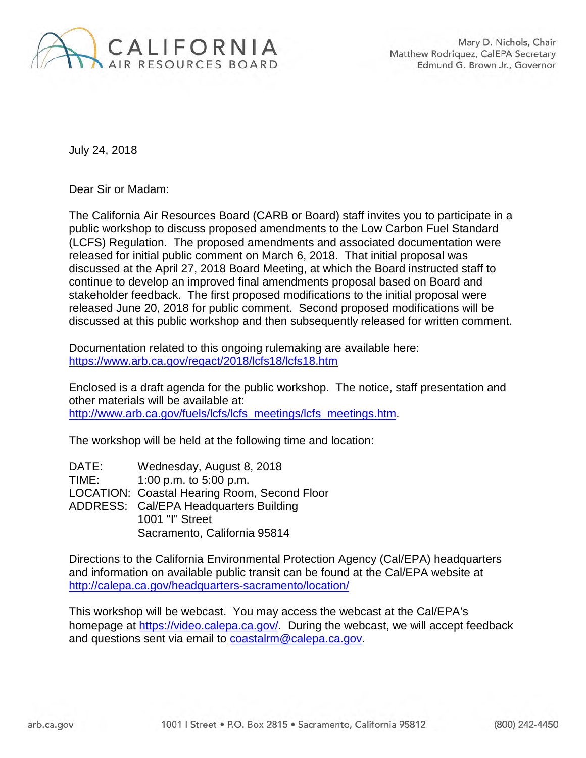

July 24, 2018

Dear Sir or Madam:

The California Air Resources Board (CARB or Board) staff invites you to participate in a public workshop to discuss proposed amendments to the Low Carbon Fuel Standard (LCFS) Regulation. The proposed amendments and associated documentation were released for initial public comment on March 6, 2018. That initial proposal was discussed at the April 27, 2018 Board Meeting, at which the Board instructed staff to continue to develop an improved final amendments proposal based on Board and stakeholder feedback. The first proposed modifications to the initial proposal were released June 20, 2018 for public comment. Second proposed modifications will be discussed at this public workshop and then subsequently released for written comment.

Documentation related to this ongoing rulemaking are available here: <https://www.arb.ca.gov/regact/2018/lcfs18/lcfs18.htm>

Enclosed is a draft agenda for the public workshop. The notice, staff presentation and other materials will be available at: [http://www.arb.ca.gov/fuels/lcfs/lcfs\\_meetings/lcfs\\_meetings.htm.](http://www.arb.ca.gov/fuels/lcfs/lcfs_meetings/lcfs_meetings.htm)

The workshop will be held at the following time and location:

| DATE: | Wednesday, August 8, 2018                    |
|-------|----------------------------------------------|
| TIME: | 1:00 p.m. to 5:00 p.m.                       |
|       | LOCATION: Coastal Hearing Room, Second Floor |
|       | ADDRESS: Cal/EPA Headquarters Building       |
|       | 1001 "I" Street                              |
|       | Sacramento, California 95814                 |

Directions to the California Environmental Protection Agency (Cal/EPA) headquarters and information on available public transit can be found at the Cal/EPA website at <http://calepa.ca.gov/headquarters-sacramento/location/>

This workshop will be webcast. You may access the webcast at the Cal/EPA's homepage at [https://video.calepa.ca.gov/.](https://video.calepa.ca.gov/) During the webcast, we will accept feedback and questions sent via email to [coastalrm@calepa.ca.gov.](mailto:coastalrm@calepa.ca.gov)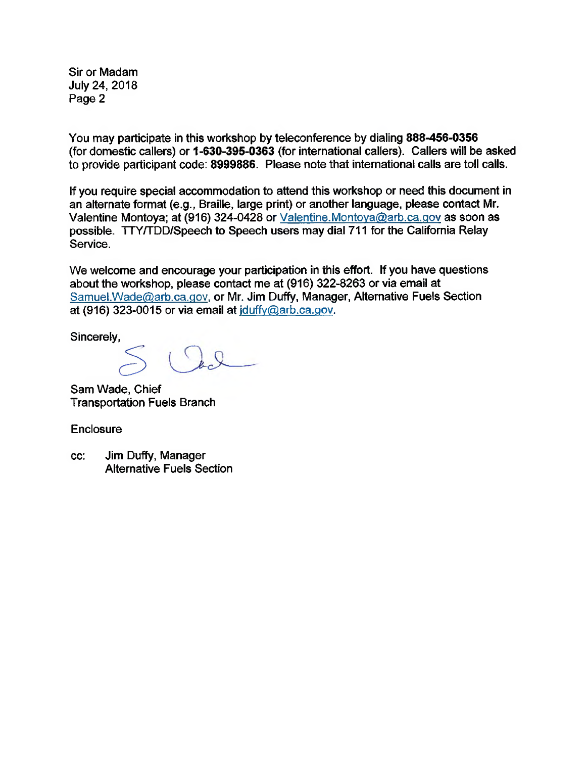Sir or Madam July 24, 2018 Page 2

You may participate in this workshop by teleconference by dialing 888-456-0356 (for domestic callers) or 1-630-395-0363 (for international callers). Callers will be asked to provide participant code: 8999886. Please note that international calls are toll calls.

If you require special accommodation to attend this workshop or need this document in an alternate format (e.g., Braille, large print) or another language, please contact Mr. Valentine Montoya; at (916) 324-0428 or Valentine.Montoya@arb.ca.gov as soon as possible. TTY/TDD/Speech to Speech users may dial 711 for the California Relay Service.

We welcome and encourage your participation in this effort. If you have questions about the workshop, please contact me at (916) 322-8263 or via email at Samuel.Wade@arb.ca.gov, or Mr. Jim Duffy, Manager, Alternative Fuels Section at (916) 323-0015 or via email at iduffy@arb.ca.gov.

Sincerely,

 $\overline{C}$ 

Sam Wade, Chief Transportation Fuels Branch

**Enclosure** 

cc: Jim Duffy, Manager Alternative Fuels Section